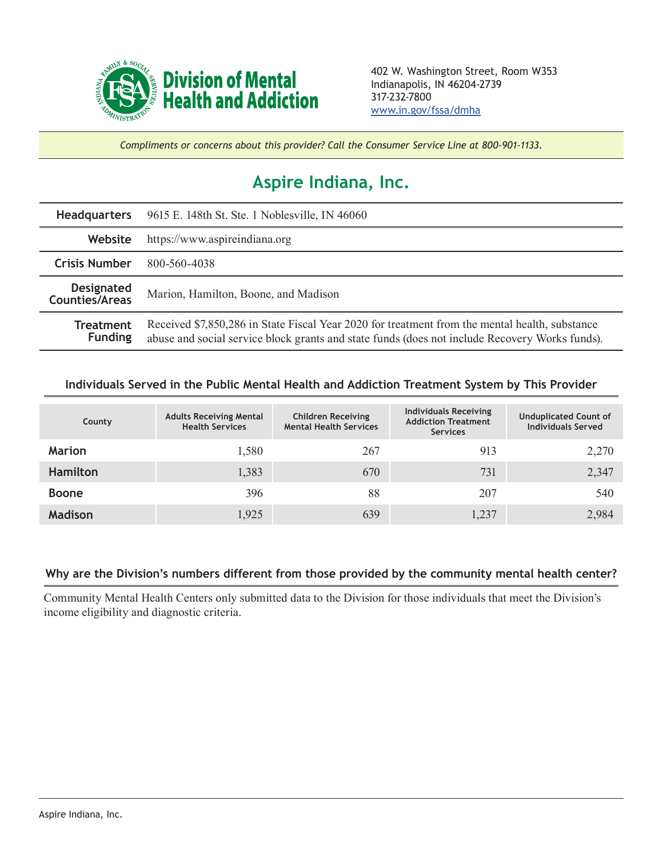

*Compliments or concerns about this provider? Call the Consumer Service Line at 800-901-1133.*

## **Aspire Indiana, Inc.**

| <b>Headquarters</b>                        | 9615 E. 148th St. Ste. 1 Noblesville, IN 46060                                                                                                                                                   |  |  |  |
|--------------------------------------------|--------------------------------------------------------------------------------------------------------------------------------------------------------------------------------------------------|--|--|--|
| Website                                    | https://www.aspireindiana.org                                                                                                                                                                    |  |  |  |
| <b>Crisis Number</b>                       | 800-560-4038                                                                                                                                                                                     |  |  |  |
| <b>Designated</b><br><b>Counties/Areas</b> | Marion, Hamilton, Boone, and Madison                                                                                                                                                             |  |  |  |
| <b>Treatment</b><br><b>Funding</b>         | Received \$7,850,286 in State Fiscal Year 2020 for treatment from the mental health, substance<br>abuse and social service block grants and state funds (does not include Recovery Works funds). |  |  |  |

## **Individuals Served in the Public Mental Health and Addiction Treatment System by This Provider**

| County          | <b>Adults Receiving Mental</b><br><b>Health Services</b> | <b>Children Receiving</b><br><b>Mental Health Services</b> | <b>Individuals Receiving</b><br><b>Addiction Treatment</b><br><b>Services</b> | <b>Unduplicated Count of</b><br><b>Individuals Served</b> |
|-----------------|----------------------------------------------------------|------------------------------------------------------------|-------------------------------------------------------------------------------|-----------------------------------------------------------|
| <b>Marion</b>   | 1,580                                                    | 267                                                        | 913                                                                           | 2,270                                                     |
| <b>Hamilton</b> | 1,383                                                    | 670                                                        | 731                                                                           | 2,347                                                     |
| <b>Boone</b>    | 396                                                      | 88                                                         | 207                                                                           | 540                                                       |
| <b>Madison</b>  | 1,925                                                    | 639                                                        | 1,237                                                                         | 2,984                                                     |

## **Why are the Division's numbers different from those provided by the community mental health center?**

Community Mental Health Centers only submitted data to the Division for those individuals that meet the Division's income eligibility and diagnostic criteria.